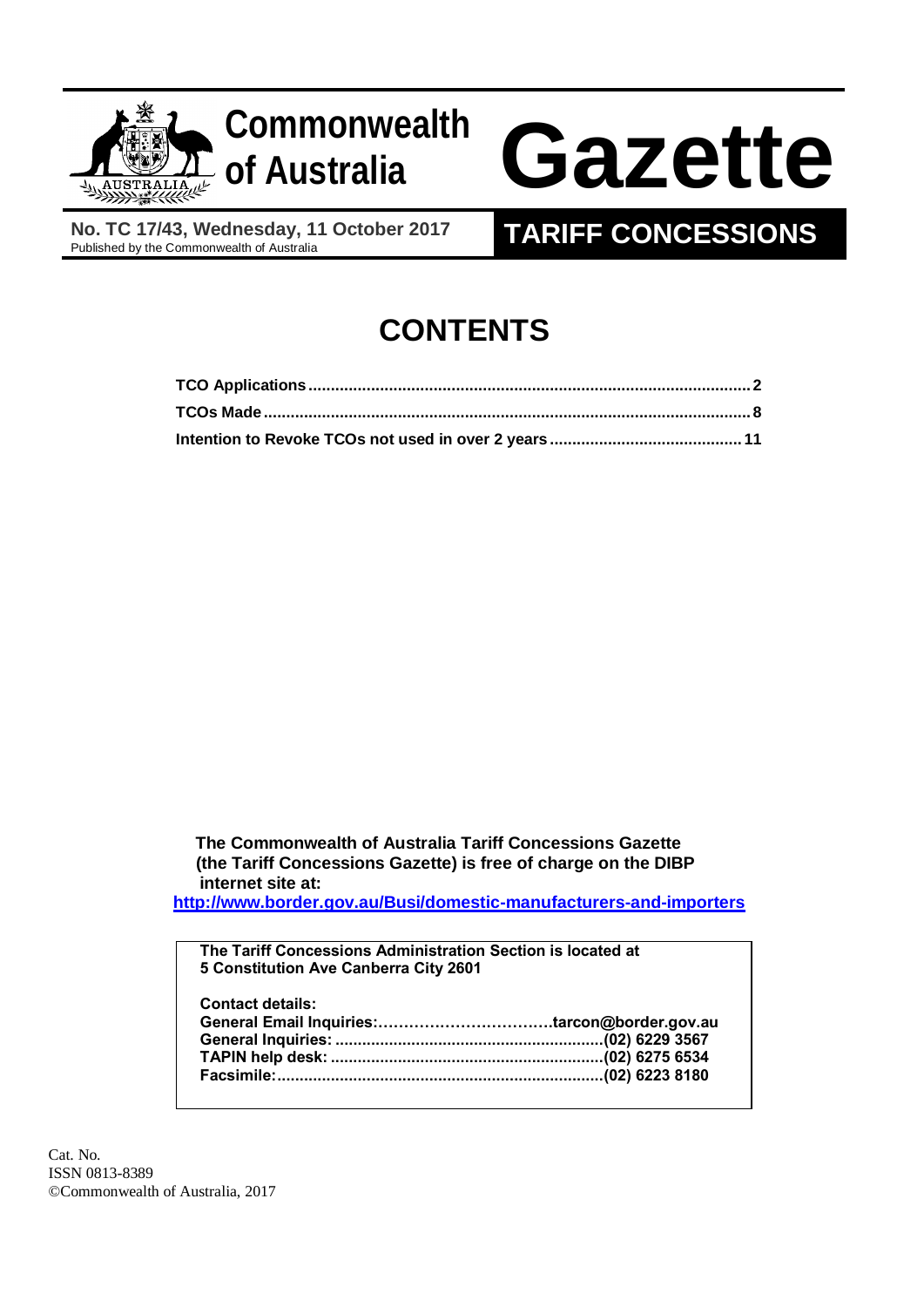



**No. TC 17/43, Wednesday, 11 October 2017**<br>Published by the Commonwealth of Australia

# **TARIFF CONCESSIONS**

# **CONTENTS**

 **The Commonwealth of Australia Tariff Concessions Gazette (the Tariff Concessions Gazette) is free of charge on the DIBP internet site at:**

**<http://www.border.gov.au/Busi/domestic-manufacturers-and-importers>**

**The Tariff Concessions Administration Section is located at 5 Constitution Ave Canberra City 2601 Contact details: General Email Inquiries:…………………………….tarcon@border.gov.au General Inquiries: ............................................................(02) 6229 3567 TAPIN help desk: .............................................................(02) 6275 6534 Facsimile:.........................................................................(02) 6223 8180**

Cat. No. ISSN 0813-8389 ©Commonwealth of Australia, 2017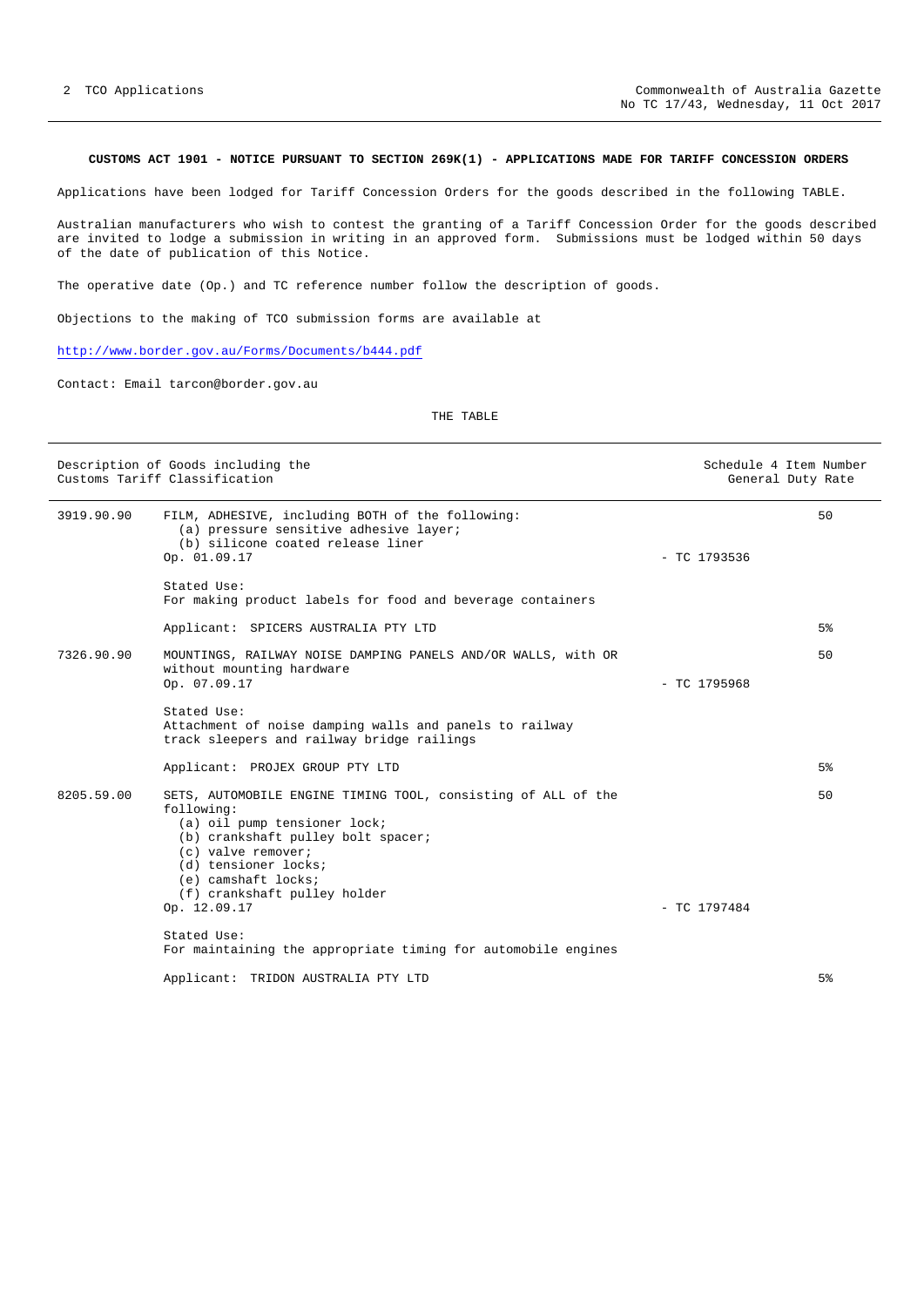# <span id="page-1-0"></span>**CUSTOMS ACT 1901 - NOTICE PURSUANT TO SECTION 269K(1) - APPLICATIONS MADE FOR TARIFF CONCESSION ORDERS**

Applications have been lodged for Tariff Concession Orders for the goods described in the following TABLE.

Australian manufacturers who wish to contest the granting of a Tariff Concession Order for the goods described are invited to lodge a submission in writing in an approved form. Submissions must be lodged within 50 days of the date of publication of this Notice.

The operative date (Op.) and TC reference number follow the description of goods.

Objections to the making of TCO submission forms are available at

# <http://www.border.gov.au/Forms/Documents/b444.pdf>

Contact: Email tarcon@border.gov.au

## THE TABLE

| Description of Goods including the<br>Customs Tariff Classification |                                                                                                                                                                                                                                                        |                | Schedule 4 Item Number<br>General Duty Rate |
|---------------------------------------------------------------------|--------------------------------------------------------------------------------------------------------------------------------------------------------------------------------------------------------------------------------------------------------|----------------|---------------------------------------------|
| 3919.90.90                                                          | FILM, ADHESIVE, including BOTH of the following:<br>(a) pressure sensitive adhesive layer;<br>(b) silicone coated release liner<br>Op. 01.09.17                                                                                                        | $-$ TC 1793536 | 50                                          |
|                                                                     | Stated Use:<br>For making product labels for food and beverage containers                                                                                                                                                                              |                |                                             |
|                                                                     | Applicant: SPICERS AUSTRALIA PTY LTD                                                                                                                                                                                                                   |                | 5%                                          |
| 7326.90.90                                                          | MOUNTINGS, RAILWAY NOISE DAMPING PANELS AND/OR WALLS, with OR<br>without mounting hardware<br>Op. 07.09.17                                                                                                                                             | $-$ TC 1795968 | 50                                          |
|                                                                     | Stated Use:<br>Attachment of noise damping walls and panels to railway<br>track sleepers and railway bridge railings                                                                                                                                   |                |                                             |
|                                                                     | Applicant: PROJEX GROUP PTY LTD                                                                                                                                                                                                                        |                | 5%                                          |
| 8205.59.00                                                          | SETS, AUTOMOBILE ENGINE TIMING TOOL, consisting of ALL of the<br>following:<br>(a) oil pump tensioner lock;<br>(b) crankshaft pulley bolt spacer;<br>(c) valve remover;<br>(d) tensioner locks;<br>(e) camshaft locks;<br>(f) crankshaft pulley holder |                | 50                                          |
|                                                                     | Op. 12.09.17                                                                                                                                                                                                                                           | $-$ TC 1797484 |                                             |
|                                                                     | Stated Use:<br>For maintaining the appropriate timing for automobile engines                                                                                                                                                                           |                |                                             |
|                                                                     | Applicant: TRIDON AUSTRALIA PTY LTD                                                                                                                                                                                                                    |                | 5%                                          |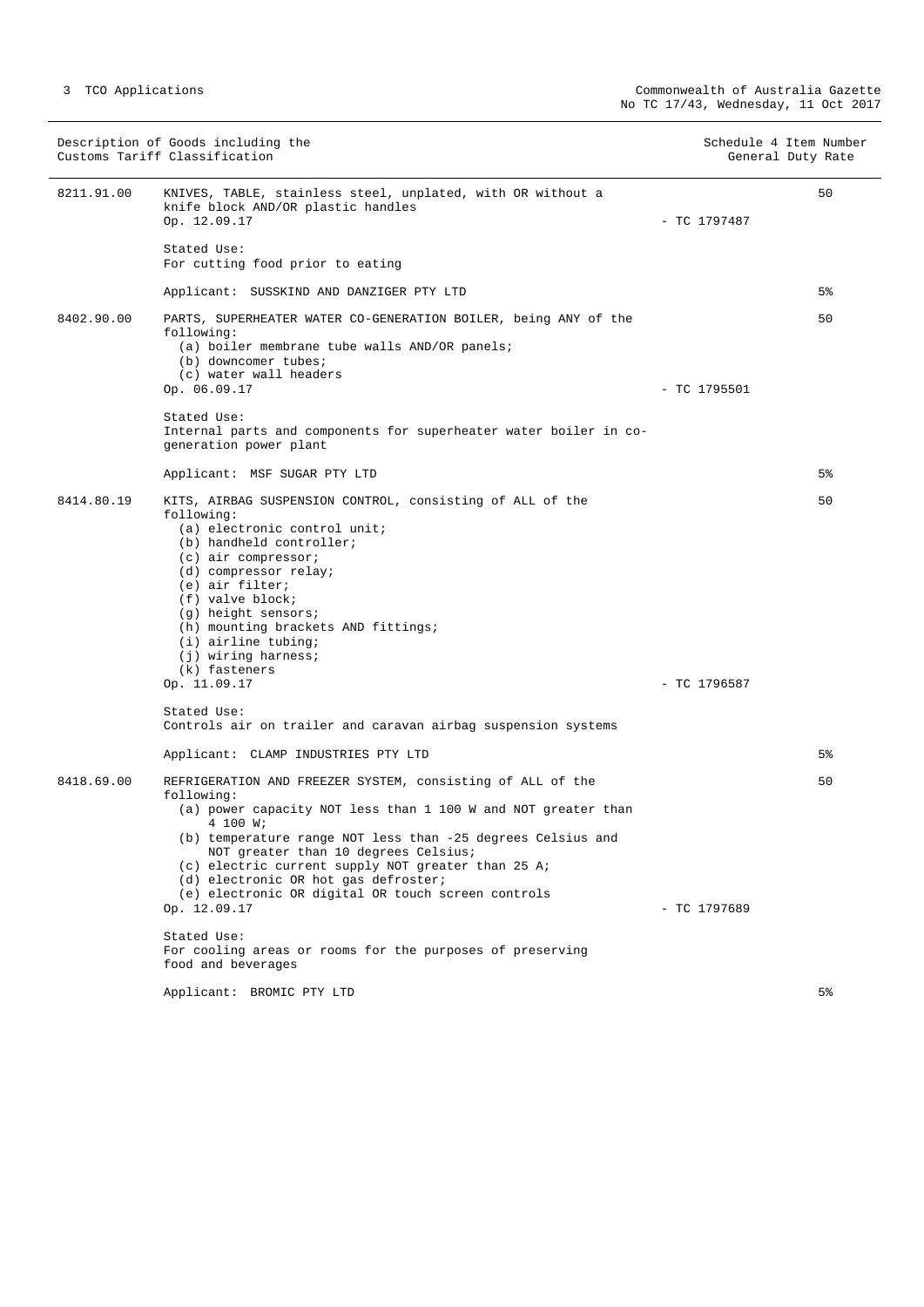|            | Description of Goods including the<br>Customs Tariff Classification                                                                                                                                                                                                                                                                                                                                                              |                | Schedule 4 Item Number<br>General Duty Rate |
|------------|----------------------------------------------------------------------------------------------------------------------------------------------------------------------------------------------------------------------------------------------------------------------------------------------------------------------------------------------------------------------------------------------------------------------------------|----------------|---------------------------------------------|
| 8211.91.00 | KNIVES, TABLE, stainless steel, unplated, with OR without a<br>knife block AND/OR plastic handles<br>Op. 12.09.17                                                                                                                                                                                                                                                                                                                | $-$ TC 1797487 | 50                                          |
|            | Stated Use:<br>For cutting food prior to eating                                                                                                                                                                                                                                                                                                                                                                                  |                |                                             |
|            | Applicant: SUSSKIND AND DANZIGER PTY LTD                                                                                                                                                                                                                                                                                                                                                                                         |                | 5%                                          |
| 8402.90.00 | PARTS, SUPERHEATER WATER CO-GENERATION BOILER, being ANY of the<br>following:<br>(a) boiler membrane tube walls AND/OR panels;<br>(b) downcomer tubes;<br>(c) water wall headers<br>Op. 06.09.17                                                                                                                                                                                                                                 | $-$ TC 1795501 | 50                                          |
|            | Stated Use:<br>Internal parts and components for superheater water boiler in co-<br>generation power plant                                                                                                                                                                                                                                                                                                                       |                |                                             |
|            | Applicant: MSF SUGAR PTY LTD                                                                                                                                                                                                                                                                                                                                                                                                     |                | 5%                                          |
| 8414.80.19 | KITS, AIRBAG SUSPENSION CONTROL, consisting of ALL of the<br>following:<br>(a) electronic control unit;<br>(b) handheld controller;<br>$(c)$ air compressor;<br>(d) compressor relay;<br>(e) air filter;<br>$(f)$ valve block;<br>(g) height sensors;<br>(h) mounting brackets AND fittings;<br>$(i)$ airline tubing;<br>$(j)$ wiring harness;<br>(k) fasteners                                                                  |                | 50                                          |
|            | Op. 11.09.17                                                                                                                                                                                                                                                                                                                                                                                                                     | $-$ TC 1796587 |                                             |
|            | Stated Use:<br>Controls air on trailer and caravan airbag suspension systems                                                                                                                                                                                                                                                                                                                                                     |                |                                             |
|            | Applicant: CLAMP INDUSTRIES PTY LTD                                                                                                                                                                                                                                                                                                                                                                                              |                | 5%                                          |
| 8418.69.00 | REFRIGERATION AND FREEZER SYSTEM, consisting of ALL of the<br>following:<br>(a) power capacity NOT less than 1 100 W and NOT greater than<br>4 100 W;<br>(b) temperature range NOT less than -25 degrees Celsius and<br>NOT greater than 10 degrees Celsius;<br>(c) electric current supply NOT greater than 25 A;<br>(d) electronic OR hot gas defroster;<br>(e) electronic OR digital OR touch screen controls<br>Op. 12.09.17 | $-$ TC 1797689 | 50                                          |
|            | Stated Use:<br>For cooling areas or rooms for the purposes of preserving<br>food and beverages                                                                                                                                                                                                                                                                                                                                   |                |                                             |
|            | Applicant: BROMIC PTY LTD                                                                                                                                                                                                                                                                                                                                                                                                        |                | 5%                                          |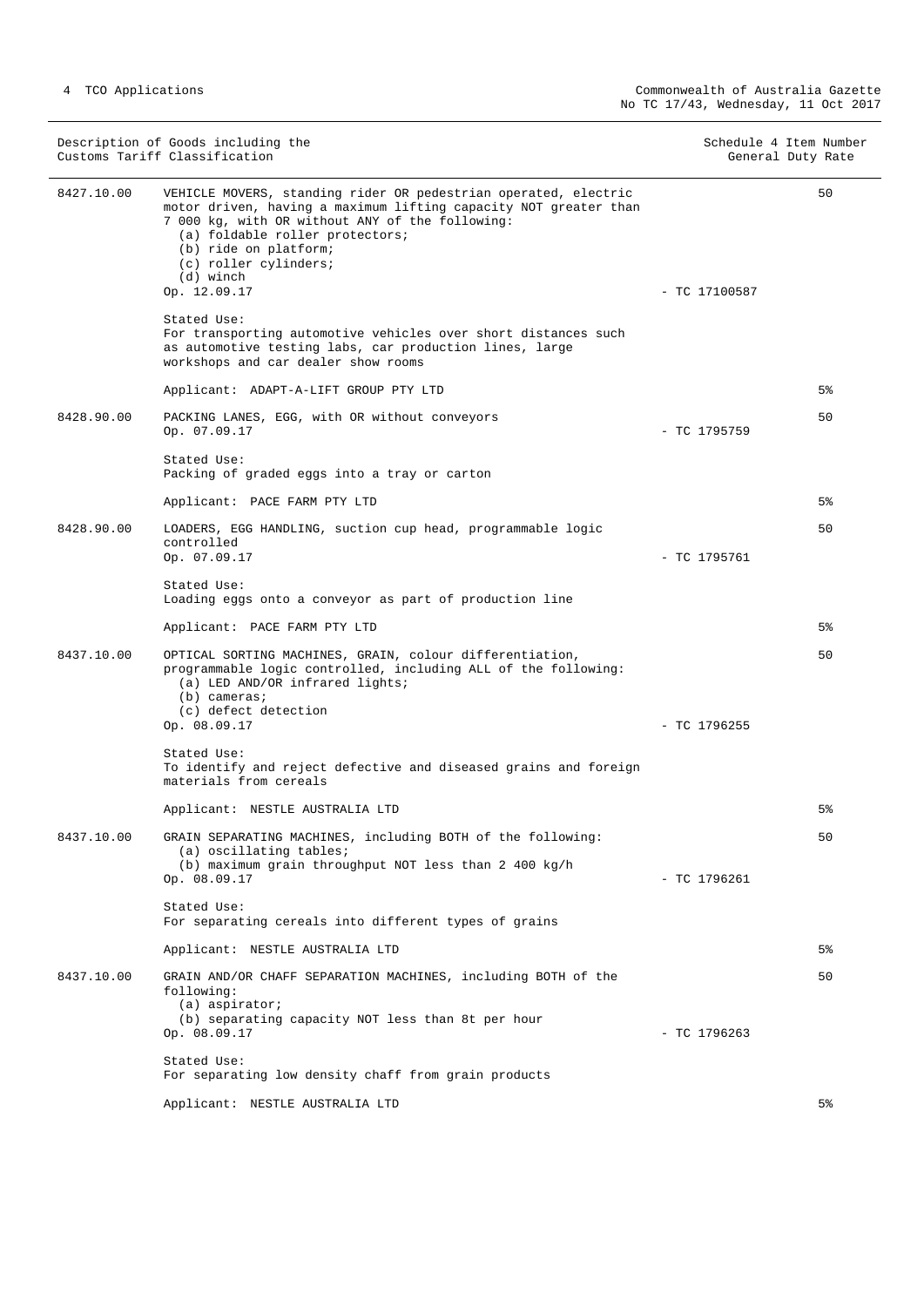|            | Description of Goods including the<br>Customs Tariff Classification                                                                                                                                                                                                                                      | Schedule 4 Item Number | General Duty Rate |
|------------|----------------------------------------------------------------------------------------------------------------------------------------------------------------------------------------------------------------------------------------------------------------------------------------------------------|------------------------|-------------------|
| 8427.10.00 | VEHICLE MOVERS, standing rider OR pedestrian operated, electric<br>motor driven, having a maximum lifting capacity NOT greater than<br>7 000 kg, with OR without ANY of the following:<br>(a) foldable roller protectors;<br>(b) ride on platform;<br>(c) roller cylinders;<br>(d) winch<br>Op. 12.09.17 | $-$ TC 17100587        | 50                |
|            | Stated Use:<br>For transporting automotive vehicles over short distances such<br>as automotive testing labs, car production lines, large<br>workshops and car dealer show rooms                                                                                                                          |                        |                   |
|            | Applicant: ADAPT-A-LIFT GROUP PTY LTD                                                                                                                                                                                                                                                                    |                        | 5%                |
| 8428.90.00 | PACKING LANES, EGG, with OR without conveyors<br>Op. 07.09.17                                                                                                                                                                                                                                            | $-$ TC 1795759         | 50                |
|            | Stated Use:<br>Packing of graded eggs into a tray or carton                                                                                                                                                                                                                                              |                        |                   |
|            | Applicant: PACE FARM PTY LTD                                                                                                                                                                                                                                                                             |                        | 5%                |
| 8428.90.00 | LOADERS, EGG HANDLING, suction cup head, programmable logic<br>controlled<br>Op. 07.09.17                                                                                                                                                                                                                | $-$ TC 1795761         | 50                |
|            | Stated Use:<br>Loading eggs onto a conveyor as part of production line                                                                                                                                                                                                                                   |                        |                   |
|            | Applicant: PACE FARM PTY LTD                                                                                                                                                                                                                                                                             |                        | 5%                |
| 8437.10.00 | OPTICAL SORTING MACHINES, GRAIN, colour differentiation,<br>programmable logic controlled, including ALL of the following:<br>(a) LED AND/OR infrared lights;<br>$(b)$ cameras;<br>(c) defect detection<br>Op. 08.09.17                                                                                  | $-$ TC 1796255         | 50                |
|            | Stated Use:<br>To identify and reject defective and diseased grains and foreign<br>materials from cereals                                                                                                                                                                                                |                        |                   |
|            | Applicant: NESTLE AUSTRALIA LTD                                                                                                                                                                                                                                                                          |                        | 5%                |
| 8437.10.00 | GRAIN SEPARATING MACHINES, including BOTH of the following:<br>(a) oscillating tables;<br>(b) maximum grain throughput NOT less than 2 400 $kg/h$<br>Op. 08.09.17                                                                                                                                        | $-$ TC 1796261         | 50                |
|            | Stated Use:<br>For separating cereals into different types of grains                                                                                                                                                                                                                                     |                        |                   |
|            | Applicant: NESTLE AUSTRALIA LTD                                                                                                                                                                                                                                                                          |                        | 5%                |
| 8437.10.00 | GRAIN AND/OR CHAFF SEPARATION MACHINES, including BOTH of the<br>following:<br>$(a)$ aspirator;<br>(b) separating capacity NOT less than 8t per hour<br>Op. 08.09.17                                                                                                                                     | $-$ TC 1796263         | 50                |
|            | Stated Use:<br>For separating low density chaff from grain products                                                                                                                                                                                                                                      |                        |                   |
|            | Applicant: NESTLE AUSTRALIA LTD                                                                                                                                                                                                                                                                          |                        | 5%                |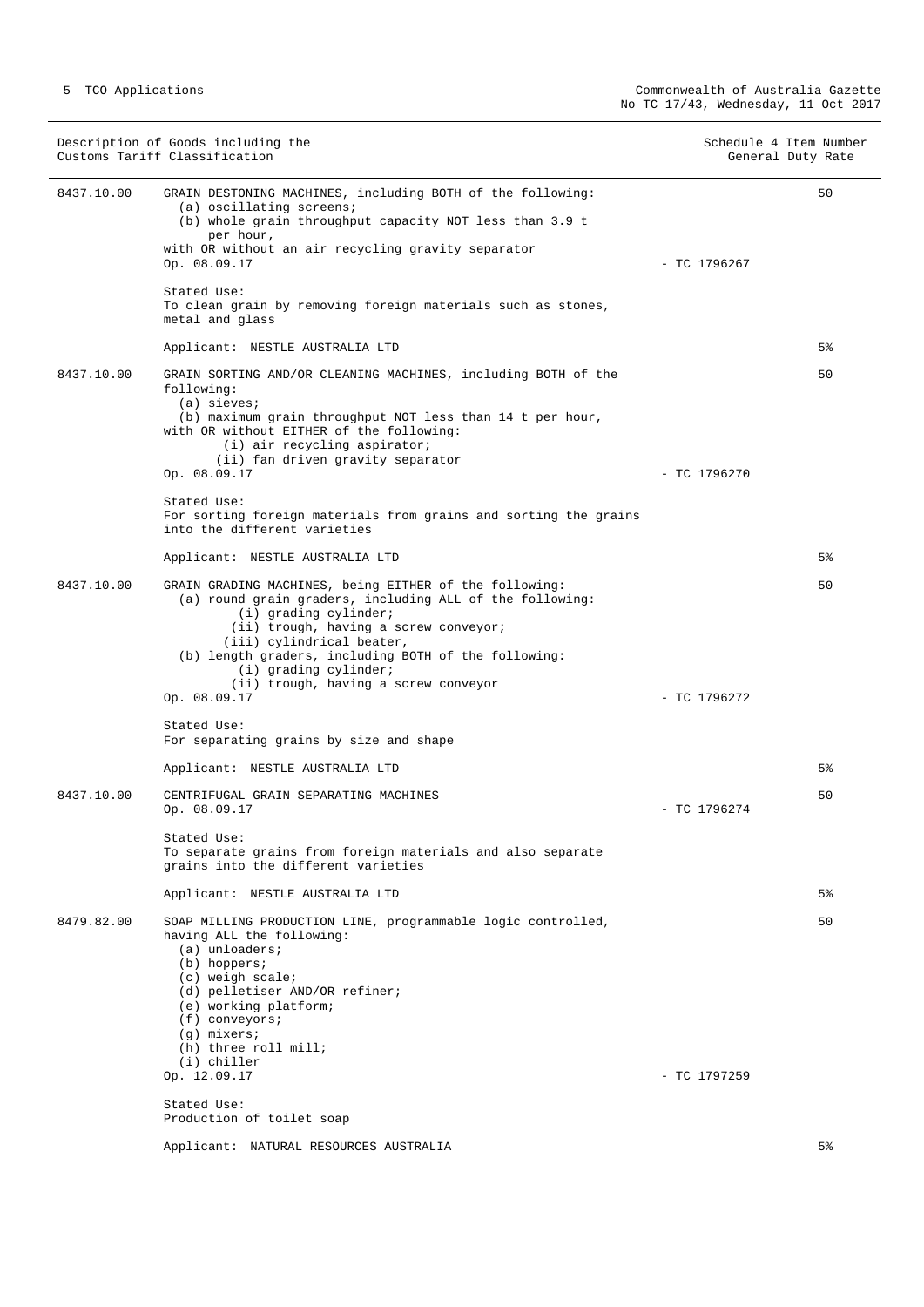|            | Description of Goods including the<br>Customs Tariff Classification                                                                                                                                                                                                                                | Schedule 4 Item Number | General Duty Rate |
|------------|----------------------------------------------------------------------------------------------------------------------------------------------------------------------------------------------------------------------------------------------------------------------------------------------------|------------------------|-------------------|
| 8437.10.00 | GRAIN DESTONING MACHINES, including BOTH of the following:<br>(a) oscillating screens;<br>(b) whole grain throughput capacity NOT less than 3.9 t<br>per hour,<br>with OR without an air recycling gravity separator<br>Op. 08.09.17                                                               | $-$ TC 1796267         | 50                |
|            | Stated Use:<br>To clean grain by removing foreign materials such as stones,<br>metal and glass                                                                                                                                                                                                     |                        |                   |
|            | Applicant: NESTLE AUSTRALIA LTD                                                                                                                                                                                                                                                                    |                        | 5%                |
| 8437.10.00 | GRAIN SORTING AND/OR CLEANING MACHINES, including BOTH of the<br>following:<br>$(a)$ sieves;<br>(b) maximum grain throughput NOT less than 14 t per hour,<br>with OR without EITHER of the following:<br>(i) air recycling aspirator;                                                              |                        | 50                |
|            | (ii) fan driven gravity separator<br>Op. 08.09.17                                                                                                                                                                                                                                                  | $-$ TC 1796270         |                   |
|            | Stated Use:<br>For sorting foreign materials from grains and sorting the grains<br>into the different varieties                                                                                                                                                                                    |                        |                   |
|            | Applicant: NESTLE AUSTRALIA LTD                                                                                                                                                                                                                                                                    |                        | 5%                |
| 8437.10.00 | GRAIN GRADING MACHINES, being EITHER of the following:<br>(a) round grain graders, including ALL of the following:<br>(i) grading cylinder;<br>(ii) trough, having a screw conveyor;<br>(iii) cylindrical beater,<br>(b) length graders, including BOTH of the following:<br>(i) grading cylinder; |                        | 50                |
|            | (ii) trough, having a screw conveyor<br>Op. 08.09.17                                                                                                                                                                                                                                               | $-$ TC 1796272         |                   |
|            | Stated Use:<br>For separating grains by size and shape                                                                                                                                                                                                                                             |                        |                   |
|            | Applicant: NESTLE AUSTRALIA LTD                                                                                                                                                                                                                                                                    |                        | 5%                |
| 8437.10.00 | CENTRIFUGAL GRAIN SEPARATING MACHINES<br>Op. 08.09.17                                                                                                                                                                                                                                              | $-$ TC 1796274         | 50                |
|            | Stated Use:<br>To separate grains from foreign materials and also separate<br>grains into the different varieties                                                                                                                                                                                  |                        |                   |
|            | Applicant: NESTLE AUSTRALIA LTD                                                                                                                                                                                                                                                                    |                        | 5%                |
| 8479.82.00 | SOAP MILLING PRODUCTION LINE, programmable logic controlled,<br>having ALL the following:<br>$(a)$ unloaders;<br>$(b)$ hoppers;<br>$(c)$ weigh scale;<br>(d) pelletiser AND/OR refiner;<br>(e) working platform;<br>$(f)$ conveyors;<br>$(g)$ mixers;<br>(h) three roll mill;<br>(i) chiller       |                        | 50                |
|            | Op. 12.09.17<br>Stated Use:                                                                                                                                                                                                                                                                        | $-$ TC 1797259         |                   |
|            | Production of toilet soap                                                                                                                                                                                                                                                                          |                        |                   |
|            | Applicant: NATURAL RESOURCES AUSTRALIA                                                                                                                                                                                                                                                             |                        | 5%                |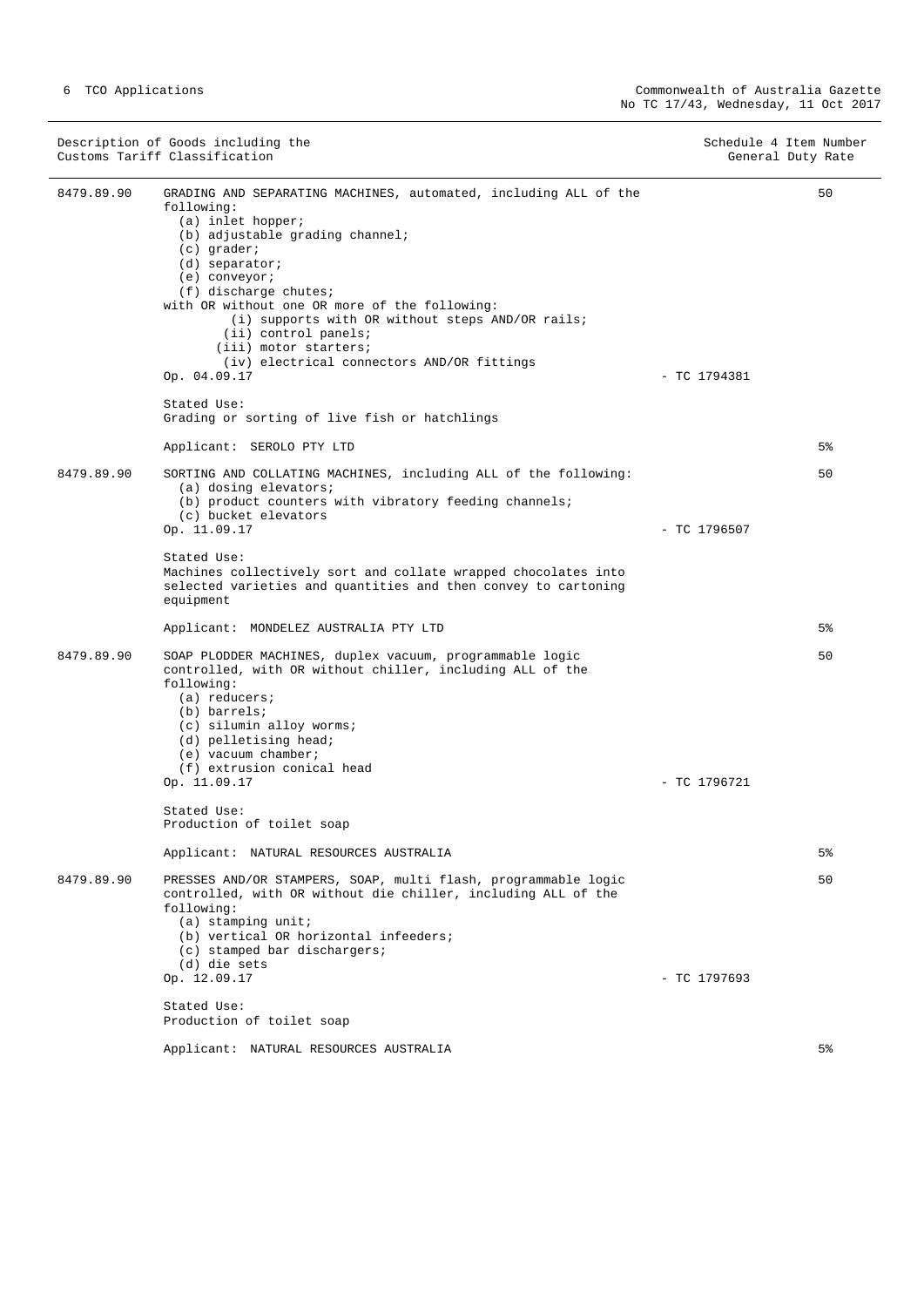|            | Description of Goods including the<br>Customs Tariff Classification                                                                                                                                                                                                                                                                                                                                                                                                                                       | Schedule 4 Item Number<br>General Duty Rate |  |
|------------|-----------------------------------------------------------------------------------------------------------------------------------------------------------------------------------------------------------------------------------------------------------------------------------------------------------------------------------------------------------------------------------------------------------------------------------------------------------------------------------------------------------|---------------------------------------------|--|
| 8479.89.90 | GRADING AND SEPARATING MACHINES, automated, including ALL of the<br>following:<br>(a) inlet hopper;<br>(b) adjustable grading channel;<br>$(c)$ grader;<br>$(d)$ separator;<br>(e) conveyor;<br>(f) discharge chutes;<br>with OR without one OR more of the following:<br>(i) supports with OR without steps AND/OR rails;<br>(ii) control panels;<br>(iii) motor starters;<br>(iv) electrical connectors AND/OR fittings<br>Op. 04.09.17<br>Stated Use:<br>Grading or sorting of live fish or hatchlings | 50<br>$-$ TC 1794381                        |  |
|            | Applicant: SEROLO PTY LTD                                                                                                                                                                                                                                                                                                                                                                                                                                                                                 | 5%                                          |  |
| 8479.89.90 | SORTING AND COLLATING MACHINES, including ALL of the following:<br>(a) dosing elevators;<br>(b) product counters with vibratory feeding channels;<br>(c) bucket elevators<br>Op. 11.09.17                                                                                                                                                                                                                                                                                                                 | 50<br>$-$ TC 1796507                        |  |
|            | Stated Use:<br>Machines collectively sort and collate wrapped chocolates into<br>selected varieties and quantities and then convey to cartoning<br>equipment                                                                                                                                                                                                                                                                                                                                              |                                             |  |
|            | Applicant: MONDELEZ AUSTRALIA PTY LTD                                                                                                                                                                                                                                                                                                                                                                                                                                                                     | 5%                                          |  |
| 8479.89.90 | SOAP PLODDER MACHINES, duplex vacuum, programmable logic<br>controlled, with OR without chiller, including ALL of the<br>following:<br>$(a)$ reducers;<br>(b) barrels;<br>(c) silumin alloy worms;<br>(d) pelletising head;<br>$(e)$ vacuum chamber;<br>(f) extrusion conical head<br>Op. 11.09.17                                                                                                                                                                                                        | 50<br>$-$ TC 1796721                        |  |
|            | Stated Use:<br>Production of toilet soap                                                                                                                                                                                                                                                                                                                                                                                                                                                                  |                                             |  |
|            | Applicant: NATURAL RESOURCES AUSTRALIA                                                                                                                                                                                                                                                                                                                                                                                                                                                                    | 5%                                          |  |
| 8479.89.90 | PRESSES AND/OR STAMPERS, SOAP, multi flash, programmable logic<br>controlled, with OR without die chiller, including ALL of the<br>following:<br>$(a)$ stamping unit;<br>(b) vertical OR horizontal infeeders;<br>$(c)$ stamped bar dischargers;<br>(d) die sets                                                                                                                                                                                                                                          | 50                                          |  |
|            | Op. 12.09.17                                                                                                                                                                                                                                                                                                                                                                                                                                                                                              | $-$ TC 1797693                              |  |
|            | Stated Use:<br>Production of toilet soap                                                                                                                                                                                                                                                                                                                                                                                                                                                                  |                                             |  |
|            | Applicant: NATURAL RESOURCES AUSTRALIA                                                                                                                                                                                                                                                                                                                                                                                                                                                                    | 5%                                          |  |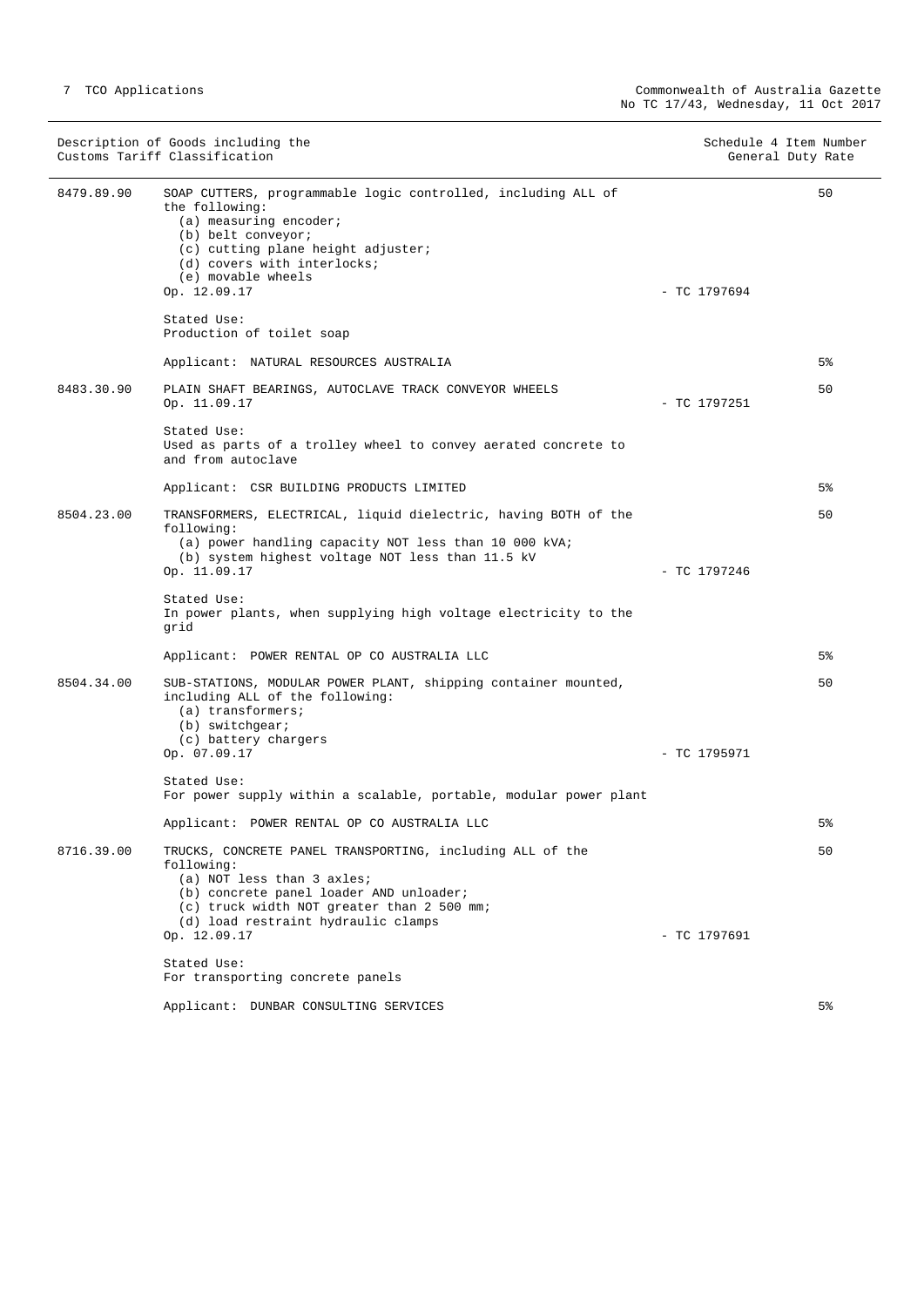|            | Description of Goods including the<br>Customs Tariff Classification                                                                                                                                                                          |                | Schedule 4 Item Number<br>General Duty Rate |
|------------|----------------------------------------------------------------------------------------------------------------------------------------------------------------------------------------------------------------------------------------------|----------------|---------------------------------------------|
| 8479.89.90 | SOAP CUTTERS, programmable logic controlled, including ALL of<br>the following:<br>$(a)$ measuring encoder;<br>(b) belt conveyor;<br>(c) cutting plane height adjuster;<br>(d) covers with interlocks;<br>(e) movable wheels<br>Op. 12.09.17 | $-$ TC 1797694 | 50                                          |
|            | Stated Use:<br>Production of toilet soap                                                                                                                                                                                                     |                |                                             |
|            | Applicant: NATURAL RESOURCES AUSTRALIA                                                                                                                                                                                                       |                | 5%                                          |
| 8483.30.90 | PLAIN SHAFT BEARINGS, AUTOCLAVE TRACK CONVEYOR WHEELS<br>Op. 11.09.17                                                                                                                                                                        | $-$ TC 1797251 | 50                                          |
|            | Stated Use:<br>Used as parts of a trolley wheel to convey aerated concrete to<br>and from autoclave                                                                                                                                          |                |                                             |
|            | Applicant: CSR BUILDING PRODUCTS LIMITED                                                                                                                                                                                                     |                | 5%                                          |
| 8504.23.00 | TRANSFORMERS, ELECTRICAL, liquid dielectric, having BOTH of the<br>following:<br>(a) power handling capacity NOT less than 10 000 kVA;<br>(b) system highest voltage NOT less than 11.5 kV<br>Op. 11.09.17                                   | - TC 1797246   | 50                                          |
|            | Stated Use:<br>In power plants, when supplying high voltage electricity to the<br>grid                                                                                                                                                       |                |                                             |
|            | Applicant: POWER RENTAL OP CO AUSTRALIA LLC                                                                                                                                                                                                  |                | 5%                                          |
| 8504.34.00 | SUB-STATIONS, MODULAR POWER PLANT, shipping container mounted,<br>including ALL of the following:<br>$(a)$ transformers;<br>(b) switchgear;<br>(c) battery chargers<br>Op. 07.09.17                                                          | $-$ TC 1795971 | 50                                          |
|            | Stated Use:<br>For power supply within a scalable, portable, modular power plant                                                                                                                                                             |                |                                             |
|            | Applicant: POWER RENTAL OP CO AUSTRALIA LLC                                                                                                                                                                                                  |                | 5%                                          |
| 8716.39.00 | TRUCKS, CONCRETE PANEL TRANSPORTING, including ALL of the<br>following:<br>(a) NOT less than 3 axles;<br>(b) concrete panel loader AND unloader;<br>(c) truck width NOT greater than 2 500 mm;<br>(d) load restraint hydraulic clamps        |                | 50                                          |
|            | Op. 12.09.17                                                                                                                                                                                                                                 | $-$ TC 1797691 |                                             |
|            | Stated Use:<br>For transporting concrete panels                                                                                                                                                                                              |                |                                             |
|            | Applicant: DUNBAR CONSULTING SERVICES                                                                                                                                                                                                        |                | 5%                                          |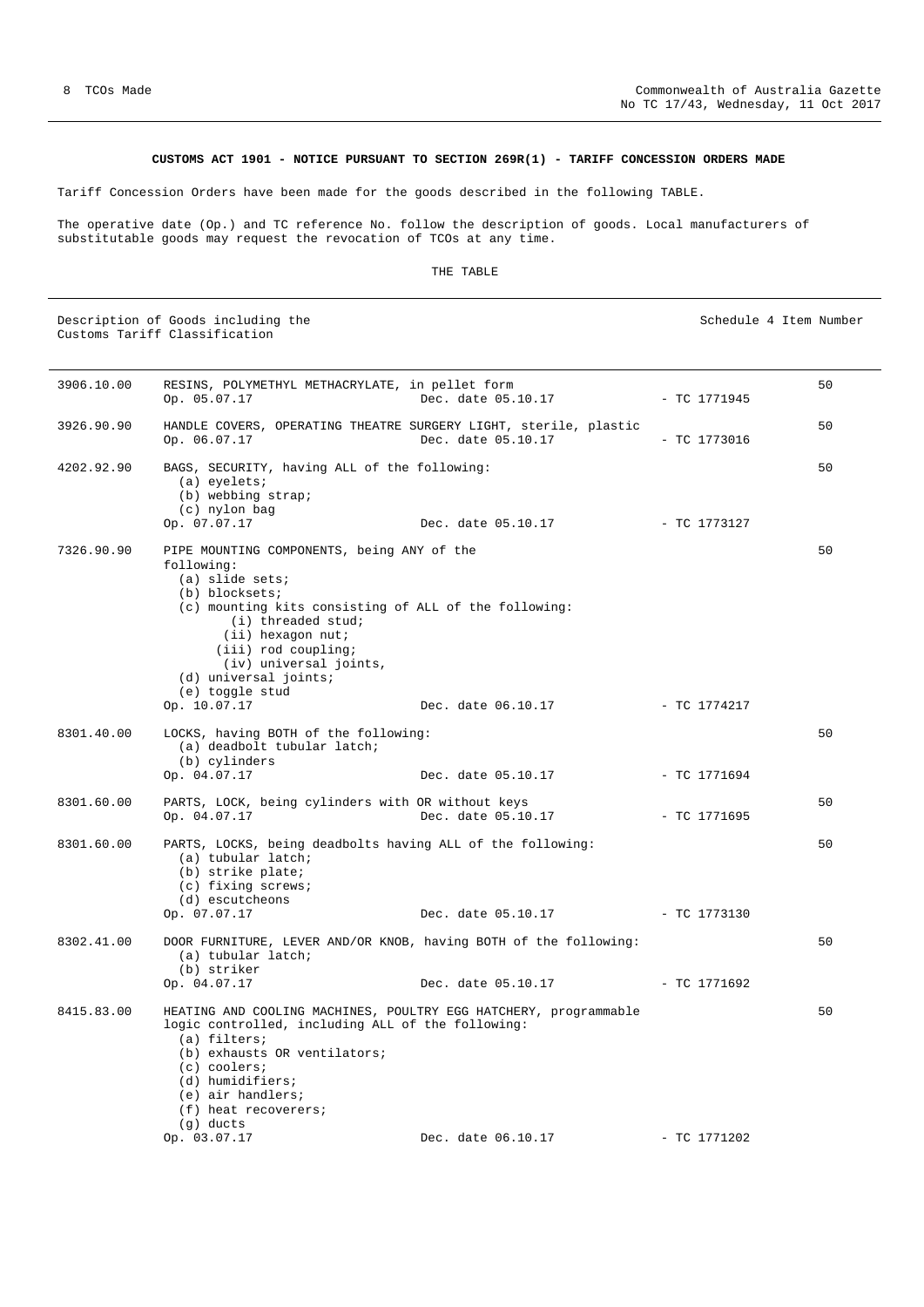### **CUSTOMS ACT 1901 - NOTICE PURSUANT TO SECTION 269R(1) - TARIFF CONCESSION ORDERS MADE**

<span id="page-7-0"></span>Tariff Concession Orders have been made for the goods described in the following TABLE.

The operative date (Op.) and TC reference No. follow the description of goods. Local manufacturers of substitutable goods may request the revocation of TCOs at any time.

#### THE TABLE

Description of Goods including the Schedule 4 Item Number (Schedule 4 Item Number Customs Tariff Classification

3906.10.00 RESINS, POLYMETHYL METHACRYLATE, in pellet form Op. 05.07.17 Dec. date 05.10.17 - TC 1771945 50 3926.90.90 HANDLE COVERS, OPERATING THEATRE SURGERY LIGHT, sterile, plastic Op. 06.07.17 Dec. date 05.10.17 - TC 1773016 50 4202.92.90 BAGS, SECURITY, having ALL of the following: (a) eyelets; (b) webbing strap;  $(c)$  nylon bag<br>Op.  $07.07.17$ Dec. date 05.10.17 - TC 1773127 50 7326.90.90 PIPE MOUNTING COMPONENTS, being ANY of the following: (a) slide sets; (b) blocksets; (c) mounting kits consisting of ALL of the following: (i) threaded stud; (ii) hexagon nut; (iii) rod coupling; (iv) universal joints, (d) universal joints; (e) toggle stud<br>Op.  $10.07.17$ Dec. date 06.10.17 - TC 1774217  $50$ 8301.40.00 LOCKS, having BOTH of the following: (a) deadbolt tubular latch;  $(b)$  cylinders<br>Op.  $04.07.17$ Dec. date 05.10.17 - TC 1771694 50 8301.60.00 PARTS, LOCK, being cylinders with OR without keys Op. 04.07.17 Dec. date 05.10.17 - TC 1771695 50 8301.60.00 PARTS, LOCKS, being deadbolts having ALL of the following: (a) tubular latch; (b) strike plate; (c) fixing screws; (d) escutcheons Op. 07.07.17 Dec. date 05.10.17 - TC 1773130 50 8302.41.00 DOOR FURNITURE, LEVER AND/OR KNOB, having BOTH of the following: (a) tubular latch; (b) striker Op. 04.07.17 Dec. date 05.10.17 - TC 1771692 50 8415.83.00 HEATING AND COOLING MACHINES, POULTRY EGG HATCHERY, programmable logic controlled, including ALL of the following: (a) filters; (b) exhausts OR ventilators; (c) coolers; (d) humidifiers; (e) air handlers; (f) heat recoverers; (g) ducts Op. 03.07.17 Dec. date 06.10.17 - TC 1771202 50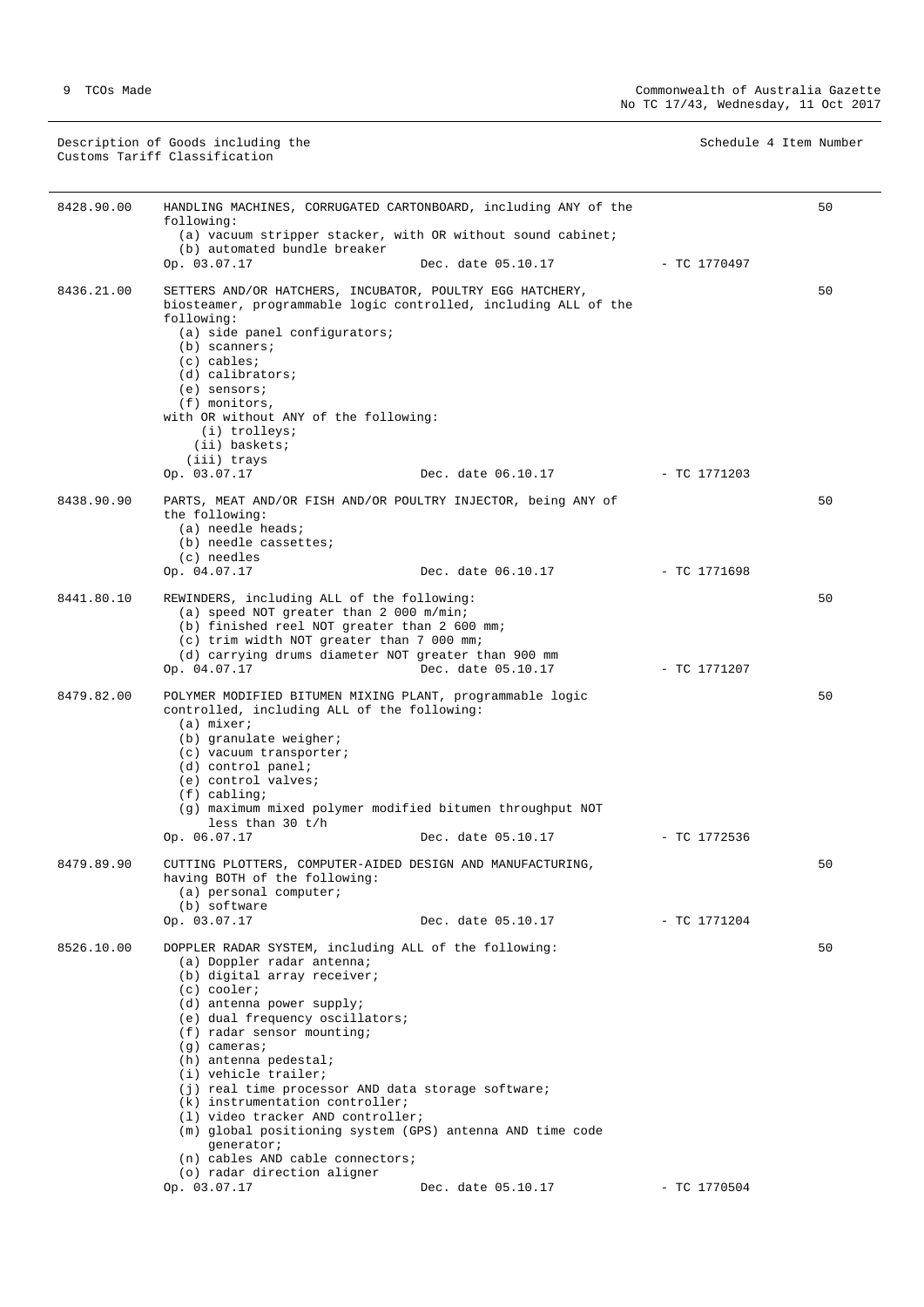Description of Goods including the Schedule 4 Item Number (Schedule 4 Item Number Customs Tariff Classification

| 8428.90.00 | HANDLING MACHINES, CORRUGATED CARTONBOARD, including ANY of the<br>following:                                                                                                                                                                                                                                                                                                                                                                                                                                                                                                      |                                 |                | 50 |
|------------|------------------------------------------------------------------------------------------------------------------------------------------------------------------------------------------------------------------------------------------------------------------------------------------------------------------------------------------------------------------------------------------------------------------------------------------------------------------------------------------------------------------------------------------------------------------------------------|---------------------------------|----------------|----|
|            | (a) vacuum stripper stacker, with OR without sound cabinet;                                                                                                                                                                                                                                                                                                                                                                                                                                                                                                                        |                                 |                |    |
|            | (b) automated bundle breaker<br>Op. 03.07.17                                                                                                                                                                                                                                                                                                                                                                                                                                                                                                                                       | Dec. date 05.10.17              | - TC 1770497   |    |
| 8436.21.00 | SETTERS AND/OR HATCHERS, INCUBATOR, POULTRY EGG HATCHERY,<br>biosteamer, programmable logic controlled, including ALL of the<br>following:<br>(a) side panel configurators;<br>$(b)$ scanners;<br>$(c)$ cables;<br>(d) calibrators;<br>$(e)$ sensors;<br>(f) monitors,<br>with OR without ANY of the following:<br>(i) trolleys;<br>(ii) baskets;<br>(iii) trays<br>Op. 03.07.17                                                                                                                                                                                                   | Dec. date 06.10.17 - TC 1771203 |                | 50 |
| 8438.90.90 | PARTS, MEAT AND/OR FISH AND/OR POULTRY INJECTOR, being ANY of                                                                                                                                                                                                                                                                                                                                                                                                                                                                                                                      |                                 |                | 50 |
|            | the following:<br>(a) needle heads;<br>(b) needle cassettes;<br>(c) needles<br>Op. 04.07.17                                                                                                                                                                                                                                                                                                                                                                                                                                                                                        | Dec. date 06.10.17              | - TC 1771698   |    |
| 8441.80.10 | REWINDERS, including ALL of the following:                                                                                                                                                                                                                                                                                                                                                                                                                                                                                                                                         |                                 |                | 50 |
|            | (a) speed NOT greater than 2 000 m/min;<br>(b) finished reel NOT greater than 2 600 mm;<br>(c) trim width NOT greater than 7 000 mm;<br>(d) carrying drums diameter NOT greater than 900 mm<br>Op. 04.07.17                                                                                                                                                                                                                                                                                                                                                                        | Dec. date 05.10.17              | - TC 1771207   |    |
| 8479.82.00 | POLYMER MODIFIED BITUMEN MIXING PLANT, programmable logic                                                                                                                                                                                                                                                                                                                                                                                                                                                                                                                          |                                 |                | 50 |
|            | controlled, including ALL of the following:<br>$(a)$ mixer;<br>(b) granulate weigher;<br>(c) vacuum transporter;<br>$(d)$ control panel;<br>(e) control valves;<br>$(f)$ cabling;<br>(g) maximum mixed polymer modified bitumen throughput NOT<br>less than $30 t/h$<br>Op. 06.07.17                                                                                                                                                                                                                                                                                               | Dec. date 05.10.17              | - TC 1772536   |    |
| 8479.89.90 | CUTTING PLOTTERS, COMPUTER-AIDED DESIGN AND MANUFACTURING,                                                                                                                                                                                                                                                                                                                                                                                                                                                                                                                         |                                 |                | 50 |
|            | having BOTH of the following:<br>(a) personal computer;<br>(b) software<br>Op. 03.07.17                                                                                                                                                                                                                                                                                                                                                                                                                                                                                            | Dec. date 05.10.17              | $-$ TC 1771204 |    |
| 8526.10.00 | DOPPLER RADAR SYSTEM, including ALL of the following:<br>(a) Doppler radar antenna;<br>(b) digital array receiver;<br>$(c)$ cooler;<br>(d) antenna power supply;<br>(e) dual frequency oscillators;<br>$(f)$ radar sensor mounting;<br>$(g)$ cameras;<br>(h) antenna pedestal;<br>(i) vehicle trailer;<br>(j) real time processor AND data storage software;<br>(k) instrumentation controller;<br>(1) video tracker AND controller;<br>(m) global positioning system (GPS) antenna AND time code<br>generator;<br>(n) cables AND cable connectors;<br>(o) radar direction aligner |                                 |                | 50 |
|            | Op. 03.07.17                                                                                                                                                                                                                                                                                                                                                                                                                                                                                                                                                                       | Dec. date 05.10.17              | $-$ TC 1770504 |    |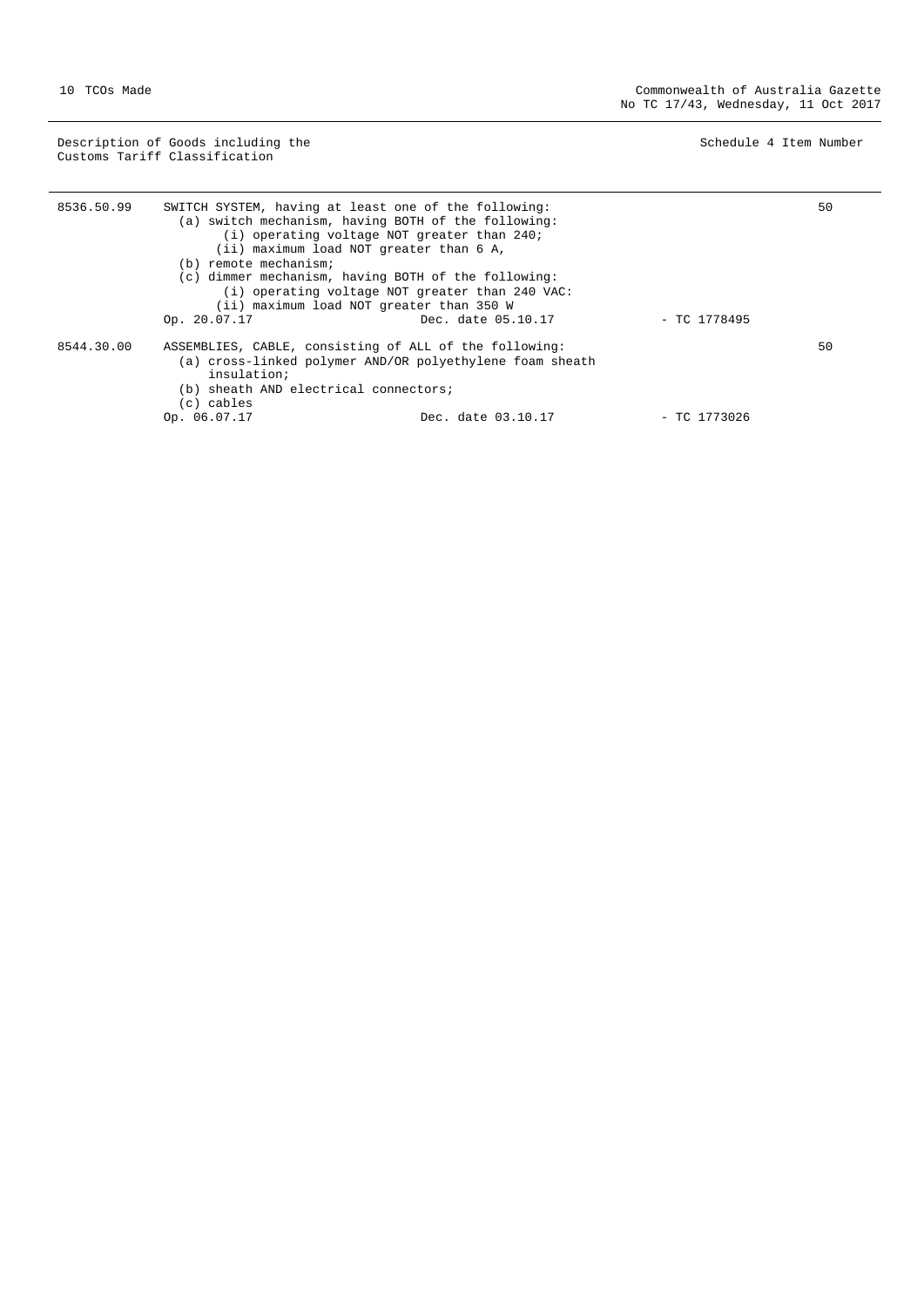Description of Goods including the Schedule 4 Item Number (Schedule 4 Item Number Customs Tariff Classification

÷,

| 8536.50.99 | SWITCH SYSTEM, having at least one of the following: | (a) switch mechanism, having BOTH of the following:      |                | 50 |
|------------|------------------------------------------------------|----------------------------------------------------------|----------------|----|
|            |                                                      | (i) operating voltage NOT greater than 240;              |                |    |
|            |                                                      | (ii) maximum load NOT greater than 6 A,                  |                |    |
|            | (b) remote mechanism;                                |                                                          |                |    |
|            |                                                      | (c) dimmer mechanism, having BOTH of the following:      |                |    |
|            |                                                      | (i) operating voltage NOT greater than 240 VAC:          |                |    |
|            |                                                      | (ii) maximum load NOT greater than 350 W                 |                |    |
|            | Op. 20.07.17                                         | Dec. date 05.10.17                                       | $-$ TC 1778495 |    |
| 8544.30.00 |                                                      | ASSEMBLIES, CABLE, consisting of ALL of the following:   |                | 50 |
|            | insulation;                                          | (a) cross-linked polymer AND/OR polyethylene foam sheath |                |    |
|            | (b) sheath AND electrical connectors;                |                                                          |                |    |
|            | $(c)$ cables                                         |                                                          |                |    |
|            | Op. 06.07.17                                         | Dec. date 03.10.17                                       | $-$ TC 1773026 |    |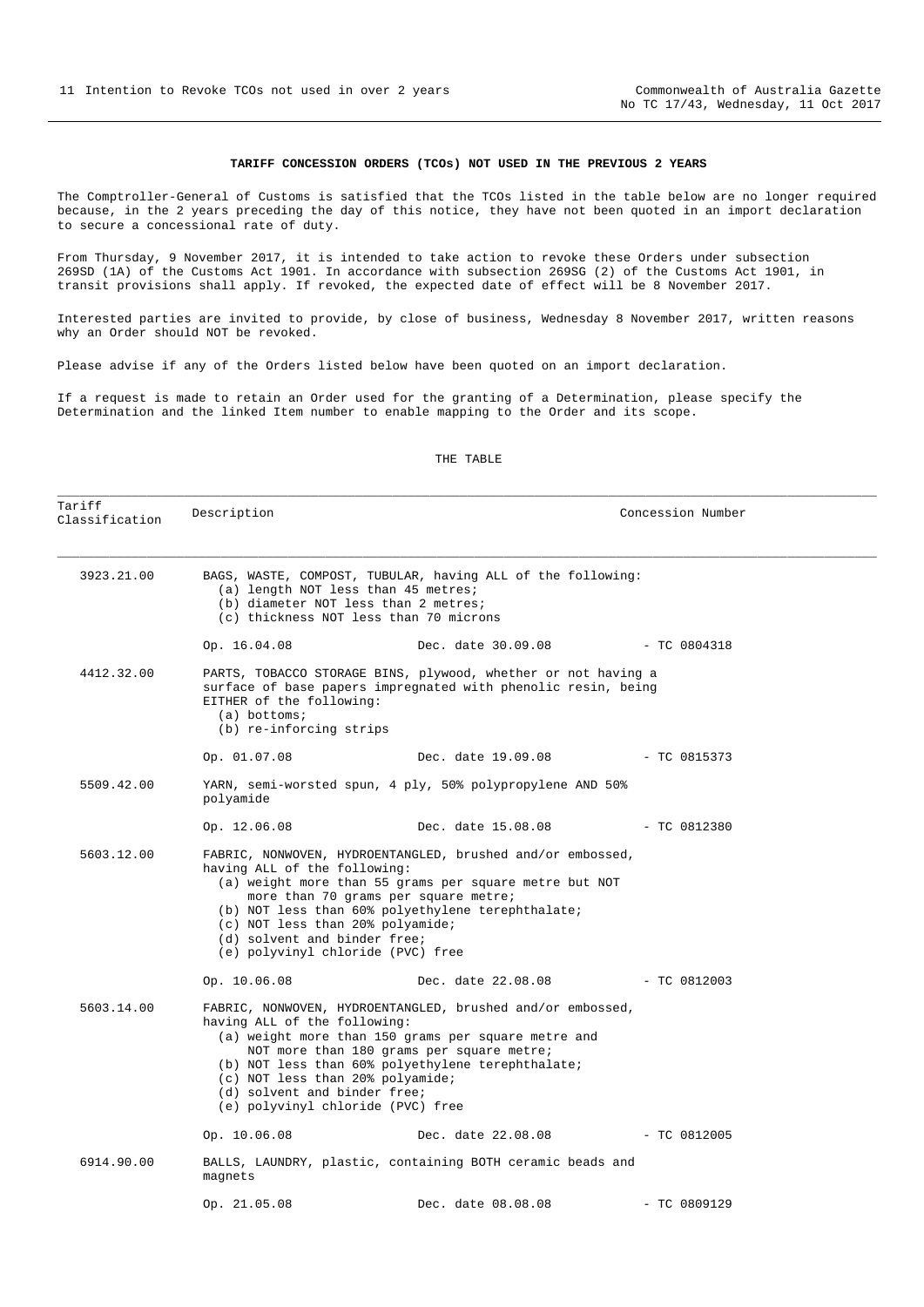#### **TARIFF CONCESSION ORDERS (TCOs) NOT USED IN THE PREVIOUS 2 YEARS**

<span id="page-10-0"></span>The Comptroller-General of Customs is satisfied that the TCOs listed in the table below are no longer required because, in the 2 years preceding the day of this notice, they have not been quoted in an import declaration to secure a concessional rate of duty.

From Thursday, 9 November 2017, it is intended to take action to revoke these Orders under subsection 269SD (1A) of the Customs Act 1901. In accordance with subsection 269SG (2) of the Customs Act 1901, in transit provisions shall apply. If revoked, the expected date of effect will be 8 November 2017.

Interested parties are invited to provide, by close of business, Wednesday 8 November 2017, written reasons why an Order should NOT be revoked.

Please advise if any of the Orders listed below have been quoted on an import declaration.

If a request is made to retain an Order used for the granting of a Determination, please specify the Determination and the linked Item number to enable mapping to the Order and its scope.

#### THE TABLE

\_\_\_\_\_\_\_\_\_\_\_\_\_\_\_\_\_\_\_\_\_\_\_\_\_\_\_\_\_\_\_\_\_\_\_\_\_\_\_\_\_\_\_\_\_\_\_\_\_\_\_\_\_\_\_\_\_\_\_\_\_\_\_\_\_\_\_\_\_\_\_\_\_\_\_\_\_\_\_\_\_\_\_\_\_\_\_\_\_\_\_\_\_\_\_\_\_\_\_\_\_\_\_\_\_\_\_\_\_\_

| Tariff<br>Classification | Description                                                                                                                           |                                                                                                                                                                                                                     | Concession Number |  |
|--------------------------|---------------------------------------------------------------------------------------------------------------------------------------|---------------------------------------------------------------------------------------------------------------------------------------------------------------------------------------------------------------------|-------------------|--|
| 3923.21.00               | (a) length NOT less than 45 metres;<br>(b) diameter NOT less than 2 metres;<br>(c) thickness NOT less than 70 microns                 | BAGS, WASTE, COMPOST, TUBULAR, having ALL of the following:                                                                                                                                                         |                   |  |
|                          | Op. 16.04.08                                                                                                                          | Dec. date 30.09.08 - TC 0804318                                                                                                                                                                                     |                   |  |
| 4412.32.00               | EITHER of the following:<br>$(a)$ bottoms;<br>(b) re-inforcing strips                                                                 | PARTS, TOBACCO STORAGE BINS, plywood, whether or not having a<br>surface of base papers impregnated with phenolic resin, being                                                                                      |                   |  |
|                          | Op. 01.07.08                                                                                                                          | Dec. date 19.09.08                                                                                                                                                                                                  | $- TC 0815373$    |  |
| 5509.42.00               | polyamide                                                                                                                             | YARN, semi-worsted spun, 4 ply, 50% polypropylene AND 50%                                                                                                                                                           |                   |  |
|                          | Op. 12.06.08                                                                                                                          | Dec. date 15.08.08                                                                                                                                                                                                  | $-$ TC 0812380    |  |
| 5603.12.00               | having ALL of the following:<br>(c) NOT less than 20% polyamide;<br>(d) solvent and binder free;<br>(e) polyvinyl chloride (PVC) free | FABRIC, NONWOVEN, HYDROENTANGLED, brushed and/or embossed,<br>(a) weight more than 55 grams per square metre but NOT<br>more than 70 grams per square metre;<br>(b) NOT less than 60% polyethylene terephthalate;   |                   |  |
|                          | Op. 10.06.08                                                                                                                          | Dec. date 22.08.08                                                                                                                                                                                                  | $-$ TC 0812003    |  |
| 5603.14.00               | having ALL of the following:<br>(c) NOT less than 20% polyamide;<br>(d) solvent and binder free;<br>(e) polyvinyl chloride (PVC) free | FABRIC, NONWOVEN, HYDROENTANGLED, brushed and/or embossed,<br>(a) weight more than 150 grams per square metre and<br>NOT more than 180 grams per square metre;<br>(b) NOT less than 60% polyethylene terephthalate; |                   |  |
|                          | Op. 10.06.08                                                                                                                          | Dec. date 22.08.08                                                                                                                                                                                                  | $-$ TC 0812005    |  |
| 6914.90.00               | magnets                                                                                                                               | BALLS, LAUNDRY, plastic, containing BOTH ceramic beads and                                                                                                                                                          |                   |  |
|                          | Op. $21.05.08$                                                                                                                        | Dec. date 08.08.08                                                                                                                                                                                                  | $-$ TC 0809129    |  |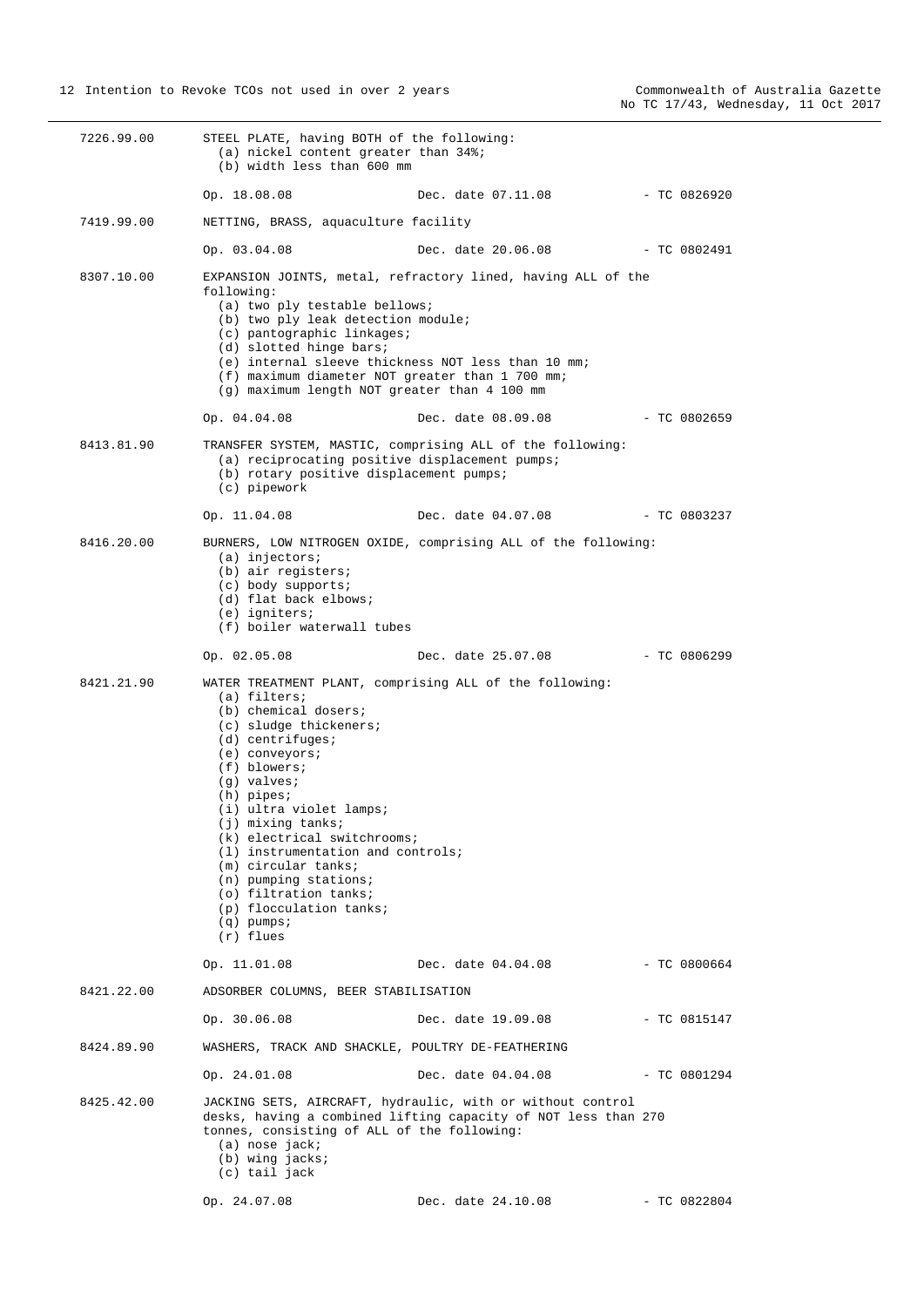| 7226.99.00 | STEEL PLATE, having BOTH of the following:<br>(a) nickel content greater than 34%;<br>(b) width less than 600 mm                                                                                                                                                                                                                                                                                                                                                                    |                                                                                                                              |                |
|------------|-------------------------------------------------------------------------------------------------------------------------------------------------------------------------------------------------------------------------------------------------------------------------------------------------------------------------------------------------------------------------------------------------------------------------------------------------------------------------------------|------------------------------------------------------------------------------------------------------------------------------|----------------|
|            | Op. 18.08.08                                                                                                                                                                                                                                                                                                                                                                                                                                                                        | Dec. date 07.11.08                                                                                                           | $-$ TC 0826920 |
| 7419.99.00 | NETTING, BRASS, aquaculture facility                                                                                                                                                                                                                                                                                                                                                                                                                                                |                                                                                                                              |                |
|            | Op. 03.04.08                                                                                                                                                                                                                                                                                                                                                                                                                                                                        | Dec. date 20.06.08                                                                                                           | $- TC 0802491$ |
| 8307.10.00 | following:<br>(a) two ply testable bellows;<br>(b) two ply leak detection module;<br>(c) pantographic linkages;<br>(d) slotted hinge bars;<br>(e) internal sleeve thickness NOT less than 10 mm;<br>(f) maximum diameter NOT greater than 1 700 mm;<br>(g) maximum length NOT greater than 4 100 mm                                                                                                                                                                                 | EXPANSION JOINTS, metal, refractory lined, having ALL of the                                                                 |                |
|            | Op. 04.04.08                                                                                                                                                                                                                                                                                                                                                                                                                                                                        | Dec. date 08.09.08                                                                                                           | $-$ TC 0802659 |
| 8413.81.90 | (a) reciprocating positive displacement pumps;<br>(b) rotary positive displacement pumps;<br>(c) pipework                                                                                                                                                                                                                                                                                                                                                                           | TRANSFER SYSTEM, MASTIC, comprising ALL of the following:                                                                    |                |
|            | Op. 11.04.08                                                                                                                                                                                                                                                                                                                                                                                                                                                                        | Dec. date 04.07.08                                                                                                           | $-$ TC 0803237 |
| 8416.20.00 | $(a)$ injectors;<br>(b) air registers;<br>$(c)$ body supports;<br>(d) flat back elbows;<br>$(e)$ igniters;<br>(f) boiler waterwall tubes                                                                                                                                                                                                                                                                                                                                            | BURNERS, LOW NITROGEN OXIDE, comprising ALL of the following:                                                                |                |
|            | Op. 02.05.08                                                                                                                                                                                                                                                                                                                                                                                                                                                                        | Dec. date 25.07.08                                                                                                           | $-TC0806299$   |
| 8421.21.90 | WATER TREATMENT PLANT, comprising ALL of the following:<br>(a) filters;<br>(b) chemical dosers;<br>(c) sludge thickeners;<br>$(d)$ centrifuges;<br>(e) conveyors;<br>$(f)$ blowers;<br>$(q)$ valves;<br>$(h)$ pipes;<br>(i) ultra violet lamps;<br>(j) mixing tanks;<br>$(k)$ electrical switchrooms;<br>$(1)$ instrumentation and controls;<br>$(m)$ circular tanks;<br>$(n)$ pumping stations;<br>(o) filtration tanks;<br>(p) flocculation tanks;<br>$(q)$ pumps;<br>$(r)$ flues |                                                                                                                              |                |
|            | Op. 11.01.08                                                                                                                                                                                                                                                                                                                                                                                                                                                                        | Dec. date 04.04.08                                                                                                           | $-$ TC 0800664 |
| 8421.22.00 | ADSORBER COLUMNS, BEER STABILISATION                                                                                                                                                                                                                                                                                                                                                                                                                                                |                                                                                                                              |                |
|            | Op. 30.06.08                                                                                                                                                                                                                                                                                                                                                                                                                                                                        | Dec. date 19.09.08                                                                                                           | $-$ TC 0815147 |
| 8424.89.90 | WASHERS, TRACK AND SHACKLE, POULTRY DE-FEATHERING                                                                                                                                                                                                                                                                                                                                                                                                                                   |                                                                                                                              |                |
|            | Op. 24.01.08                                                                                                                                                                                                                                                                                                                                                                                                                                                                        | Dec. date 04.04.08                                                                                                           | $-$ TC 0801294 |
| 8425.42.00 | tonnes, consisting of ALL of the following:<br>$(a)$ nose jack;<br>$(b)$ wing jacks;<br>(c) tail jack                                                                                                                                                                                                                                                                                                                                                                               | JACKING SETS, AIRCRAFT, hydraulic, with or without control<br>desks, having a combined lifting capacity of NOT less than 270 |                |
|            | Op. 24.07.08                                                                                                                                                                                                                                                                                                                                                                                                                                                                        | Dec. date 24.10.08                                                                                                           | $-$ TC 0822804 |